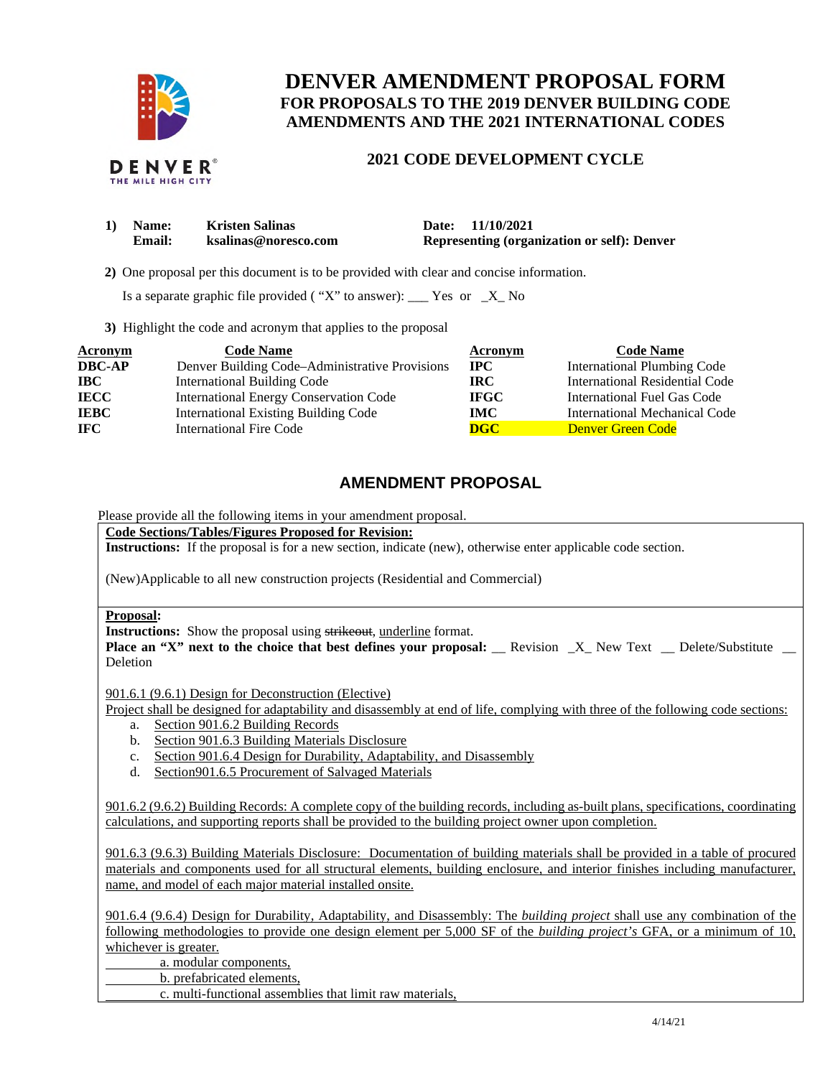

# **DENVER AMENDMENT PROPOSAL FORM FOR PROPOSALS TO THE 2019 DENVER BUILDING CODE AMENDMENTS AND THE 2021 INTERNATIONAL CODES**

## **2021 CODE DEVELOPMENT CYCLE**

| 1) Name:      | <b>Kristen Salinas</b> | Date: 11/10/2021                            |
|---------------|------------------------|---------------------------------------------|
| <b>Email:</b> | ksalinas@noresco.com   | Representing (organization or self): Denver |

**2)** One proposal per this document is to be provided with clear and concise information.

Is a separate graphic file provided ("X" to answer):  $\frac{Y}{S}$  Yes or  $\frac{X}{S}$  No

**3)** Highlight the code and acronym that applies to the proposal

| Acronym       | <b>Code Name</b>                               | Acronym                   | <b>Code Name</b>               |
|---------------|------------------------------------------------|---------------------------|--------------------------------|
| <b>DBC-AP</b> | Denver Building Code–Administrative Provisions | $\bf{IPC}$                | International Plumbing Code    |
| <b>IBC</b>    | <b>International Building Code</b>             | IRC.                      | International Residential Code |
| <b>IECC</b>   | <b>International Energy Conservation Code</b>  | <b>IFGC</b>               | International Fuel Gas Code    |
| <b>IEBC</b>   | <b>International Existing Building Code</b>    | IMC .                     | International Mechanical Code  |
| <b>IFC</b>    | International Fire Code                        | $\overline{\textbf{DGC}}$ | Denver Green Code              |

## **AMENDMENT PROPOSAL**

Please provide all the following items in your amendment proposal.

**Code Sections/Tables/Figures Proposed for Revision:** 

**Instructions:** If the proposal is for a new section, indicate (new), otherwise enter applicable code section.

(New)Applicable to all new construction projects (Residential and Commercial)

#### **Proposal:**

l l

**Instructions:** Show the proposal using strikeout, underline format.

**Place an "X" next to the choice that best defines your proposal: \_\_ Revision \_X\_ New Text \_\_ Delete/Substitute \_\_** Deletion

901.6.1 (9.6.1) Design for Deconstruction (Elective)

Project shall be designed for adaptability and disassembly at end of life, complying with three of the following code sections:

- a. Section 901.6.2 Building Records
- b. Section 901.6.3 Building Materials Disclosure
- c. Section 901.6.4 Design for Durability, Adaptability, and Disassembly
- d. Section901.6.5 Procurement of Salvaged Materials

 901.6.2 (9.6.2) Building Records: A complete copy of the building records, including as-built plans, specifications, coordinating calculations, and supporting reports shall be provided to the building project owner upon completion.

 901.6.3 (9.6.3) Building Materials Disclosure: Documentation of building materials shall be provided in a table of procured materials and components used for all structural elements, building enclosure, and interior finishes including manufacturer, name, and model of each major material installed onsite.

 901.6.4 (9.6.4) Design for Durability, Adaptability, and Disassembly: The *building project* shall use any combination of the following methodologies to provide one design element per 5,000 SF of the *building project's* GFA, or a minimum of 10, whichever is greater.

a. modular components,

b. prefabricated elements,

c. multi-functional assemblies that limit raw materials,